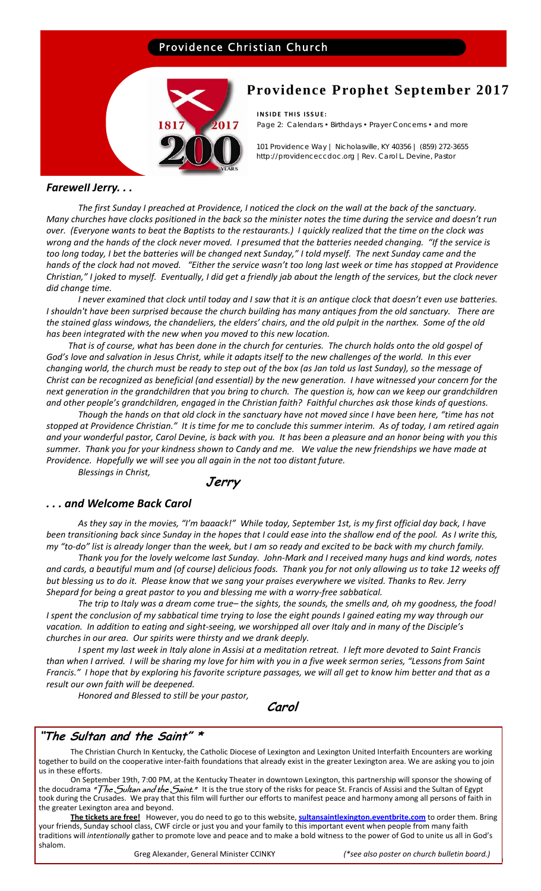# Providence Christian Church



# **Providence Prophet September 2017**

**INSIDE THIS ISSUE:** Page 2: Calendars • Birthdays • Prayer Concerns • and more

101 Providence Way | Nicholasville, KY 40356 | (859) 272-3655 http://providenceccdoc.org |Rev. Carol L. Devine, Pastor

### *Farewell Jerry. . .*

The first Sunday I preached at Providence, I noticed the clock on the wall at the back of the sanctuary. Many churches have clocks positioned in the back so the minister notes the time during the service and doesn't run over. (Everyone wants to beat the Baptists to the restaurants.) I quickly realized that the time on the clock was wrong and the hands of the clock never moved. I presumed that the batteries needed changing. "If the service is too long today, I bet the batteries will be changed next Sunday," I told myself. The next Sunday came and the hands of the clock had not moved. "Either the service wasn't too long last week or time has stopped at Providence Christian," I joked to myself. Eventually, I did get a friendly jab about the length of the services, but the clock never *did change time.* 

I never examined that clock until today and I saw that it is an antique clock that doesn't even use batteries. I shouldn't have been surprised because the church building has many antiques from the old sanctuary. There are the stained glass windows, the chandeliers, the elders' chairs, and the old pulpit in the narthex. Some of the old *has been integrated with the new when you moved to this new location.* 

That is of course, what has been done in the church for centuries. The church holds onto the old gospel of God's love and salvation in Jesus Christ, while it adapts itself to the new challenges of the world. In this ever changing world, the church must be ready to step out of the box (as Jan told us last Sunday), so the message of Christ can be recognized as beneficial (and essential) by the new generation. I have witnessed your concern for the next generation in the grandchildren that you bring to church. The question is, how can we keep our grandchildren and other people's grandchildren, engaged in the Christian faith? Faithful churches ask those kinds of questions.

Though the hands on that old clock in the sanctuary have not moved since I have been here, "time has not stopped at Providence Christian." It is time for me to conclude this summer interim. As of today, I am retired again and your wonderful pastor, Carol Devine, is back with you. It has been a pleasure and an honor being with you this summer. Thank you for your kindness shown to Candy and me. We value the new friendships we have made at *Providence. Hopefully we will see you all again in the not too distant future.*

*Blessings in Christ,*

 **Jerry** 

# *. . . and Welcome Back Carol*

As they say in the movies, "I'm baaack!" While today, September 1st, is my first official day back, I have been transitioning back since Sunday in the hopes that I could ease into the shallow end of the pool. As I write this, my "to-do" list is already longer than the week, but I am so ready and excited to be back with my church family.

Thank you for the lovely welcome last Sunday. John-Mark and I received many hugs and kind words, notes and cards, a beautiful mum and (of course) delicious foods. Thank you for not only allowing us to take 12 weeks off but blessing us to do it. Please know that we sang your praises everywhere we visited. Thanks to Rev. Jerry *Shepard for being a great pastor to you and blessing me with a worry‐free sabbatical.* 

The trip to Italy was a dream come true-the sights, the sounds, the smells and, oh my goodness, the food! I spent the conclusion of my sabbatical time trying to lose the eight pounds I gained eating my way through our vacation. In addition to eating and sight-seeing, we worshipped all over Italy and in many of the Disciple's *churches in our area. Our spirits were thirsty and we drank deeply.* 

I spent my last week in Italy alone in Assisi at a meditation retreat. I left more devoted to Saint Francis than when I arrived. I will be sharing my love for him with you in a five week sermon series, "Lessons from Saint Francis." I hope that by exploring his favorite scripture passages, we will all get to know him better and that as a *result our own faith will be deepened.* 

*Honored and Blessed to still be your pastor,*

**Carol** 

# **"The Sultan and the Saint" \***

The Christian Church In Kentucky, the Catholic Diocese of Lexington and Lexington United Interfaith Encounters are working together to build on the cooperative inter‐faith foundations that already exist in the greater Lexington area. We are asking you to join us in these efforts.

On September 19th, 7:00 PM, at the Kentucky Theater in downtown Lexington, this partnership will sponsor the showing of the docudrama *"The Sultan and the Saint."* It is the true story of the risks for peace St. Francis of Assisi and the Sultan of Egypt took during the Crusades. We pray that this film will further our efforts to manifest peace and harmony among all persons of faith in the greater Lexington area and beyond.

**The tickets are free!** However, you do need to go to this website, **sultansaintlexington.eventbrite.com** to order them. Bring your friends, Sunday school class, CWF circle or just you and your family to this important event when people from many faith traditions will *intentionally* gather to promote love and peace and to make a bold witness to the power of God to unite us all in God's shalom.